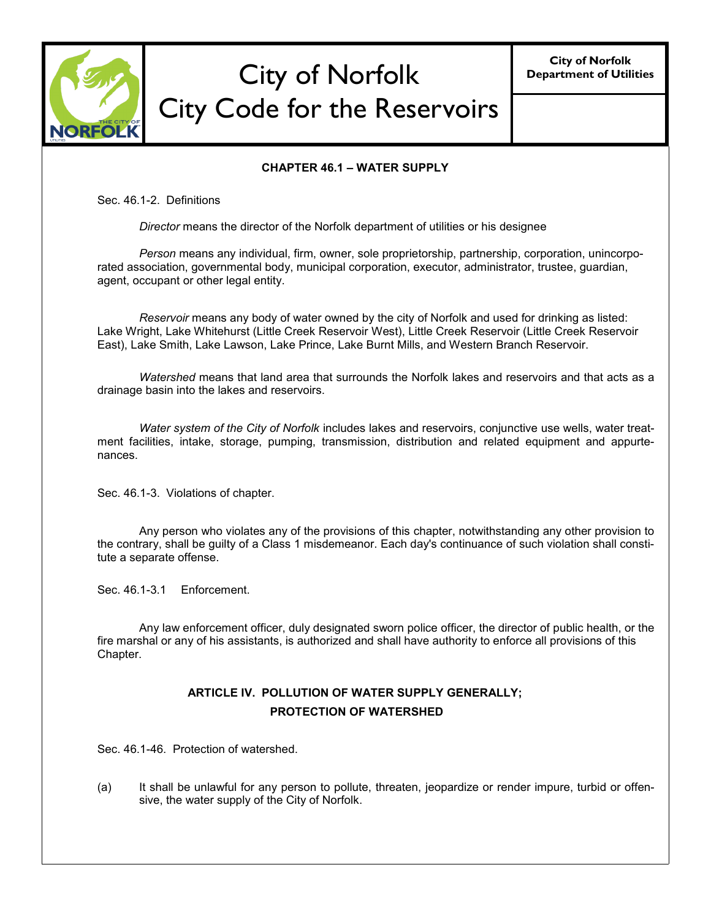

# City of Norfolk City Code for the Reservoirs

**City of Norfolk Department of Utilities**

#### **CHAPTER 46.1 – WATER SUPPLY**

Sec. 46.1-2. Definitions

*Director* means the director of the Norfolk department of utilities or his designee

*Person* means any individual, firm, owner, sole proprietorship, partnership, corporation, unincorporated association, governmental body, municipal corporation, executor, administrator, trustee, guardian, agent, occupant or other legal entity.

*Reservoir* means any body of water owned by the city of Norfolk and used for drinking as listed: Lake Wright, Lake Whitehurst (Little Creek Reservoir West), Little Creek Reservoir (Little Creek Reservoir East), Lake Smith, Lake Lawson, Lake Prince, Lake Burnt Mills, and Western Branch Reservoir.

*Watershed* means that land area that surrounds the Norfolk lakes and reservoirs and that acts as a drainage basin into the lakes and reservoirs.

*Water system of the City of Norfolk* includes lakes and reservoirs, conjunctive use wells, water treatment facilities, intake, storage, pumping, transmission, distribution and related equipment and appurtenances.

Sec. 46.1-3. Violations of chapter.

Any person who violates any of the provisions of this chapter, notwithstanding any other provision to the contrary, shall be guilty of a Class 1 misdemeanor. Each day's continuance of such violation shall constitute a separate offense.

Sec. 46.1-3.1 Enforcement.

Any law enforcement officer, duly designated sworn police officer, the director of public health, or the fire marshal or any of his assistants, is authorized and shall have authority to enforce all provisions of this Chapter.

## **ARTICLE IV. POLLUTION OF WATER SUPPLY GENERALLY; PROTECTION OF WATERSHED**

Sec. 46.1-46. Protection of watershed.

(a) It shall be unlawful for any person to pollute, threaten, jeopardize or render impure, turbid or offensive, the water supply of the City of Norfolk.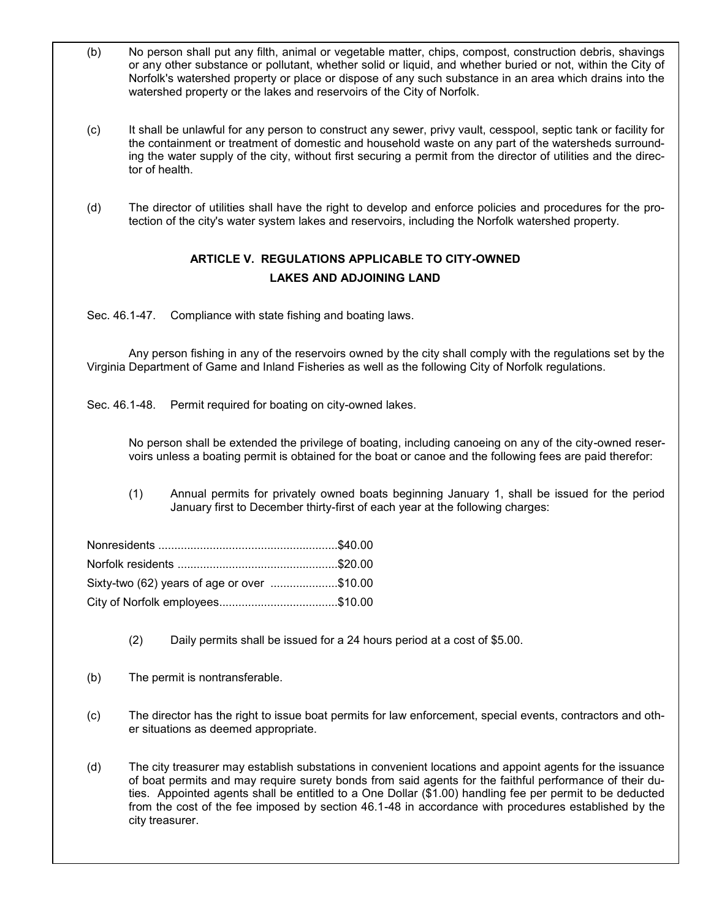- (b) No person shall put any filth, animal or vegetable matter, chips, compost, construction debris, shavings or any other substance or pollutant, whether solid or liquid, and whether buried or not, within the City of Norfolk's watershed property or place or dispose of any such substance in an area which drains into the watershed property or the lakes and reservoirs of the City of Norfolk.
- (c) It shall be unlawful for any person to construct any sewer, privy vault, cesspool, septic tank or facility for the containment or treatment of domestic and household waste on any part of the watersheds surrounding the water supply of the city, without first securing a permit from the director of utilities and the director of health.
- (d) The director of utilities shall have the right to develop and enforce policies and procedures for the protection of the city's water system lakes and reservoirs, including the Norfolk watershed property.

## **ARTICLE V. REGULATIONS APPLICABLE TO CITY-OWNED LAKES AND ADJOINING LAND**

Sec. 46.1-47. Compliance with state fishing and boating laws.

Any person fishing in any of the reservoirs owned by the city shall comply with the regulations set by the Virginia Department of Game and Inland Fisheries as well as the following City of Norfolk regulations.

Sec. 46.1-48. Permit required for boating on city-owned lakes.

No person shall be extended the privilege of boating, including canoeing on any of the city-owned reservoirs unless a boating permit is obtained for the boat or canoe and the following fees are paid therefor:

(1) Annual permits for privately owned boats beginning January 1, shall be issued for the period January first to December thirty-first of each year at the following charges:

| Sixty-two (62) years of age or over \$10.00 |  |
|---------------------------------------------|--|
|                                             |  |

- (2) Daily permits shall be issued for a 24 hours period at a cost of \$5.00.
- (b) The permit is nontransferable.
- (c) The director has the right to issue boat permits for law enforcement, special events, contractors and other situations as deemed appropriate.

(d) The city treasurer may establish substations in convenient locations and appoint agents for the issuance of boat permits and may require surety bonds from said agents for the faithful performance of their duties. Appointed agents shall be entitled to a One Dollar (\$1.00) handling fee per permit to be deducted from the cost of the fee imposed by section 46.1-48 in accordance with procedures established by the city treasurer.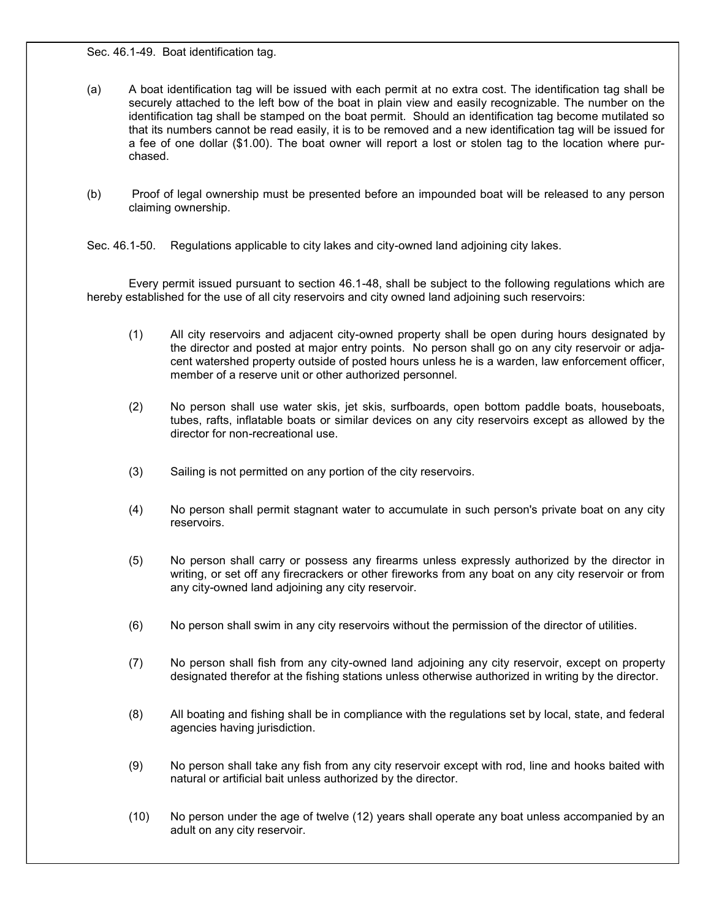Sec. 46.1-49. Boat identification tag.

- (a) A boat identification tag will be issued with each permit at no extra cost. The identification tag shall be securely attached to the left bow of the boat in plain view and easily recognizable. The number on the identification tag shall be stamped on the boat permit. Should an identification tag become mutilated so that its numbers cannot be read easily, it is to be removed and a new identification tag will be issued for a fee of one dollar (\$1.00). The boat owner will report a lost or stolen tag to the location where purchased.
- (b) Proof of legal ownership must be presented before an impounded boat will be released to any person claiming ownership.
- Sec. 46.1-50. Regulations applicable to city lakes and city-owned land adjoining city lakes.

Every permit issued pursuant to section 46.1-48, shall be subject to the following regulations which are hereby established for the use of all city reservoirs and city owned land adjoining such reservoirs:

- (1) All city reservoirs and adjacent city-owned property shall be open during hours designated by the director and posted at major entry points. No person shall go on any city reservoir or adjacent watershed property outside of posted hours unless he is a warden, law enforcement officer, member of a reserve unit or other authorized personnel.
- (2) No person shall use water skis, jet skis, surfboards, open bottom paddle boats, houseboats, tubes, rafts, inflatable boats or similar devices on any city reservoirs except as allowed by the director for non-recreational use.
- (3) Sailing is not permitted on any portion of the city reservoirs.
- (4) No person shall permit stagnant water to accumulate in such person's private boat on any city reservoirs.
- (5) No person shall carry or possess any firearms unless expressly authorized by the director in writing, or set off any firecrackers or other fireworks from any boat on any city reservoir or from any city-owned land adjoining any city reservoir.
- (6) No person shall swim in any city reservoirs without the permission of the director of utilities.
- (7) No person shall fish from any city-owned land adjoining any city reservoir, except on property designated therefor at the fishing stations unless otherwise authorized in writing by the director.
- (8) All boating and fishing shall be in compliance with the regulations set by local, state, and federal agencies having jurisdiction.
- (9) No person shall take any fish from any city reservoir except with rod, line and hooks baited with natural or artificial bait unless authorized by the director.
- (10) No person under the age of twelve (12) years shall operate any boat unless accompanied by an adult on any city reservoir.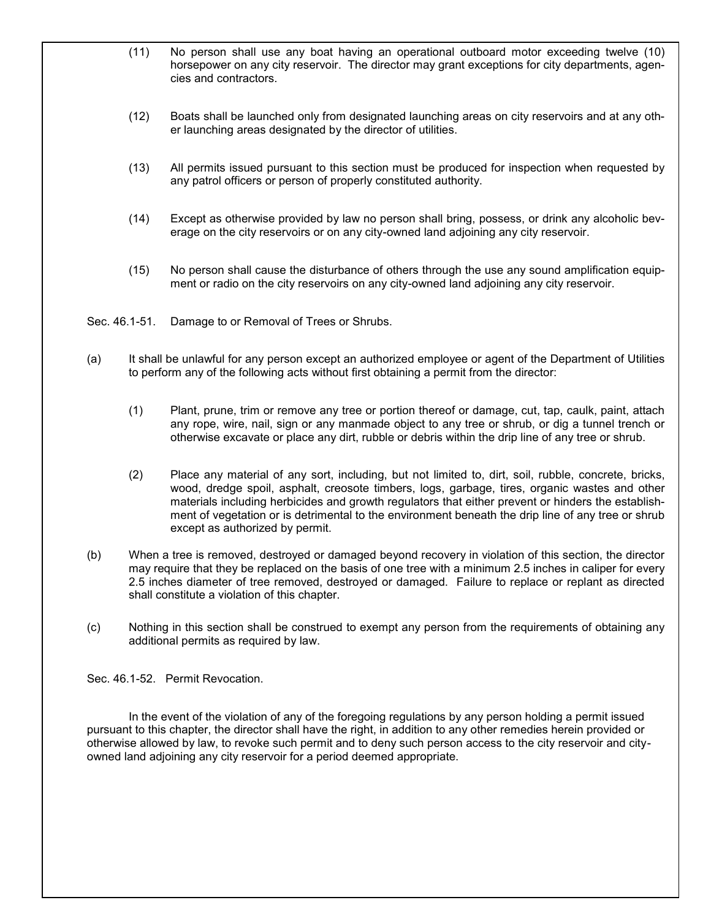- (11) No person shall use any boat having an operational outboard motor exceeding twelve (10) horsepower on any city reservoir. The director may grant exceptions for city departments, agencies and contractors.
- (12) Boats shall be launched only from designated launching areas on city reservoirs and at any other launching areas designated by the director of utilities.
- (13) All permits issued pursuant to this section must be produced for inspection when requested by any patrol officers or person of properly constituted authority.
- (14) Except as otherwise provided by law no person shall bring, possess, or drink any alcoholic beverage on the city reservoirs or on any city-owned land adjoining any city reservoir.
- (15) No person shall cause the disturbance of others through the use any sound amplification equipment or radio on the city reservoirs on any city-owned land adjoining any city reservoir.
- Sec. 46.1-51. Damage to or Removal of Trees or Shrubs.
- (a) It shall be unlawful for any person except an authorized employee or agent of the Department of Utilities to perform any of the following acts without first obtaining a permit from the director:
	- (1) Plant, prune, trim or remove any tree or portion thereof or damage, cut, tap, caulk, paint, attach any rope, wire, nail, sign or any manmade object to any tree or shrub, or dig a tunnel trench or otherwise excavate or place any dirt, rubble or debris within the drip line of any tree or shrub.
	- (2) Place any material of any sort, including, but not limited to, dirt, soil, rubble, concrete, bricks, wood, dredge spoil, asphalt, creosote timbers, logs, garbage, tires, organic wastes and other materials including herbicides and growth regulators that either prevent or hinders the establishment of vegetation or is detrimental to the environment beneath the drip line of any tree or shrub except as authorized by permit.
- (b) When a tree is removed, destroyed or damaged beyond recovery in violation of this section, the director may require that they be replaced on the basis of one tree with a minimum 2.5 inches in caliper for every 2.5 inches diameter of tree removed, destroyed or damaged. Failure to replace or replant as directed shall constitute a violation of this chapter.
- (c) Nothing in this section shall be construed to exempt any person from the requirements of obtaining any additional permits as required by law.

Sec. 46.1-52. Permit Revocation.

In the event of the violation of any of the foregoing regulations by any person holding a permit issued pursuant to this chapter, the director shall have the right, in addition to any other remedies herein provided or otherwise allowed by law, to revoke such permit and to deny such person access to the city reservoir and cityowned land adjoining any city reservoir for a period deemed appropriate.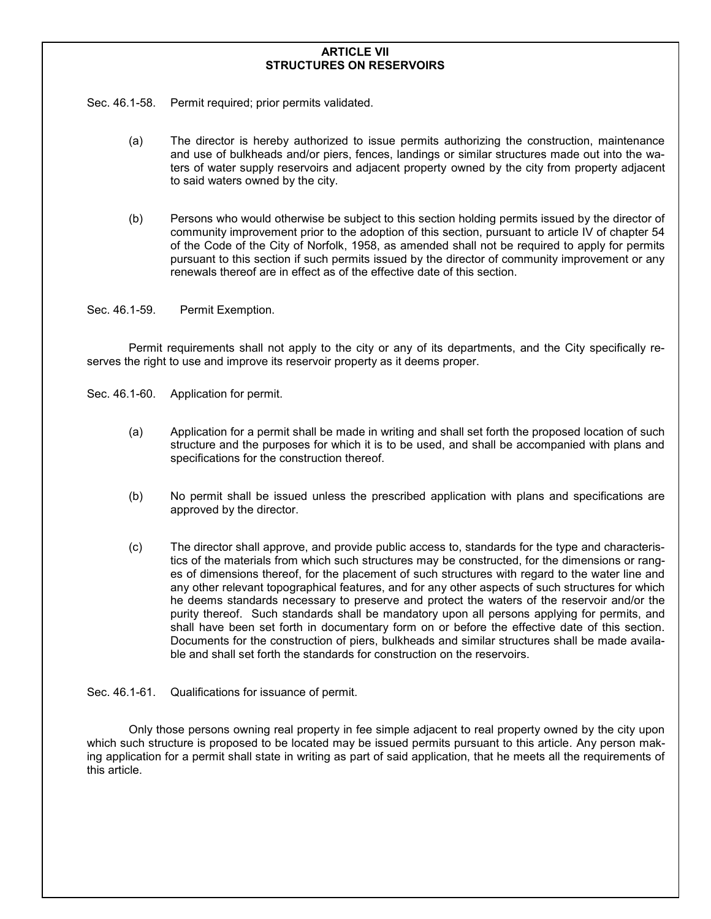#### **ARTICLE VII STRUCTURES ON RESERVOIRS**

Sec. 46.1-58. Permit required; prior permits validated.

- (a) The director is hereby authorized to issue permits authorizing the construction, maintenance and use of bulkheads and/or piers, fences, landings or similar structures made out into the waters of water supply reservoirs and adjacent property owned by the city from property adjacent to said waters owned by the city.
- (b) Persons who would otherwise be subject to this section holding permits issued by the director of community improvement prior to the adoption of this section, pursuant to article IV of chapter 54 of the Code of the City of Norfolk, 1958, as amended shall not be required to apply for permits pursuant to this section if such permits issued by the director of community improvement or any renewals thereof are in effect as of the effective date of this section.
- Sec. 46.1-59. Permit Exemption.

Permit requirements shall not apply to the city or any of its departments, and the City specifically reserves the right to use and improve its reservoir property as it deems proper.

- Sec. 46.1-60. Application for permit.
	- (a) Application for a permit shall be made in writing and shall set forth the proposed location of such structure and the purposes for which it is to be used, and shall be accompanied with plans and specifications for the construction thereof.
	- (b) No permit shall be issued unless the prescribed application with plans and specifications are approved by the director.
	- (c) The director shall approve, and provide public access to, standards for the type and characteristics of the materials from which such structures may be constructed, for the dimensions or ranges of dimensions thereof, for the placement of such structures with regard to the water line and any other relevant topographical features, and for any other aspects of such structures for which he deems standards necessary to preserve and protect the waters of the reservoir and/or the purity thereof. Such standards shall be mandatory upon all persons applying for permits, and shall have been set forth in documentary form on or before the effective date of this section. Documents for the construction of piers, bulkheads and similar structures shall be made available and shall set forth the standards for construction on the reservoirs.
- Sec. 46.1-61. Qualifications for issuance of permit.

Only those persons owning real property in fee simple adjacent to real property owned by the city upon which such structure is proposed to be located may be issued permits pursuant to this article*.* Any person making application for a permit shall state in writing as part of said application, that he meets all the requirements of this article.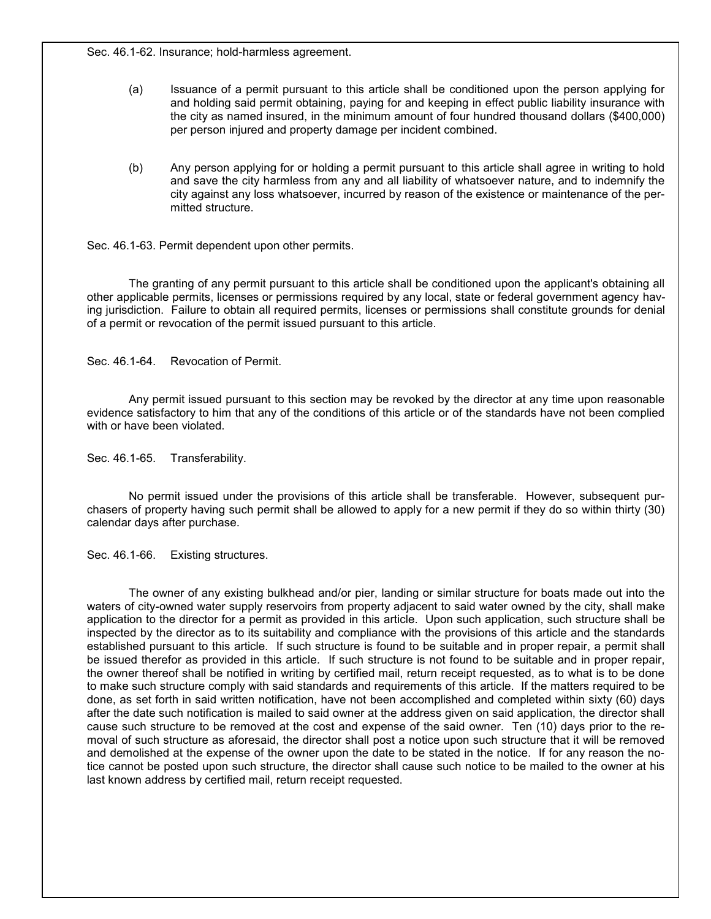Sec. 46.1-62. Insurance; hold-harmless agreement.

- (a) Issuance of a permit pursuant to this article shall be conditioned upon the person applying for and holding said permit obtaining, paying for and keeping in effect public liability insurance with the city as named insured, in the minimum amount of four hundred thousand dollars (\$400,000) per person injured and property damage per incident combined.
- (b) Any person applying for or holding a permit pursuant to this article shall agree in writing to hold and save the city harmless from any and all liability of whatsoever nature, and to indemnify the city against any loss whatsoever, incurred by reason of the existence or maintenance of the permitted structure.

Sec. 46.1-63. Permit dependent upon other permits.

The granting of any permit pursuant to this article shall be conditioned upon the applicant's obtaining all other applicable permits, licenses or permissions required by any local, state or federal government agency having jurisdiction. Failure to obtain all required permits, licenses or permissions shall constitute grounds for denial of a permit or revocation of the permit issued pursuant to this article*.*

Sec. 46.1-64. Revocation of Permit.

Any permit issued pursuant to this section may be revoked by the director at any time upon reasonable evidence satisfactory to him that any of the conditions of this article or of the standards have not been complied with or have been violated.

Sec. 46.1-65. Transferability.

No permit issued under the provisions of this article shall be transferable. However, subsequent purchasers of property having such permit shall be allowed to apply for a new permit if they do so within thirty (30) calendar days after purchase.

Sec. 46.1-66. Existing structures.

The owner of any existing bulkhead and/or pier, landing or similar structure for boats made out into the waters of city-owned water supply reservoirs from property adjacent to said water owned by the city, shall make application to the director for a permit as provided in this article. Upon such application, such structure shall be inspected by the director as to its suitability and compliance with the provisions of this article and the standards established pursuant to this article*.* If such structure is found to be suitable and in proper repair, a permit shall be issued therefor as provided in this article*.* If such structure is not found to be suitable and in proper repair, the owner thereof shall be notified in writing by certified mail, return receipt requested, as to what is to be done to make such structure comply with said standards and requirements of this article. If the matters required to be done, as set forth in said written notification, have not been accomplished and completed within sixty (60) days after the date such notification is mailed to said owner at the address given on said application, the director shall cause such structure to be removed at the cost and expense of the said owner. Ten (10) days prior to the removal of such structure as aforesaid, the director shall post a notice upon such structure that it will be removed and demolished at the expense of the owner upon the date to be stated in the notice. If for any reason the notice cannot be posted upon such structure, the director shall cause such notice to be mailed to the owner at his last known address by certified mail, return receipt requested.